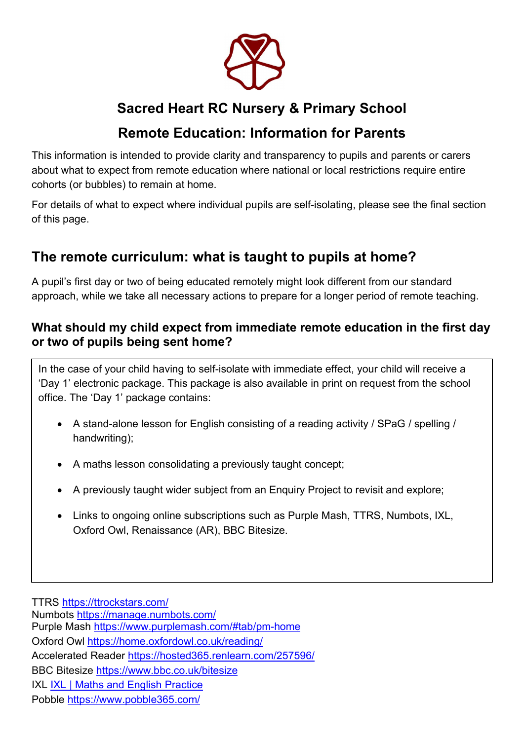

# Sacred Heart RC Nursery & Primary School

# Remote Education: Information for Parents

This information is intended to provide clarity and transparency to pupils and parents or carers about what to expect from remote education where national or local restrictions require entire cohorts (or bubbles) to remain at home.

For details of what to expect where individual pupils are self-isolating, please see the final section of this page.

# The remote curriculum: what is taught to pupils at home?

A pupil's first day or two of being educated remotely might look different from our standard approach, while we take all necessary actions to prepare for a longer period of remote teaching.

## What should my child expect from immediate remote education in the first day or two of pupils being sent home?

In the case of your child having to self-isolate with immediate effect, your child will receive a 'Day 1' electronic package. This package is also available in print on request from the school office. The 'Day 1' package contains:

- A stand-alone lesson for English consisting of a reading activity / SPaG / spelling / handwriting);
- A maths lesson consolidating a previously taught concept;
- A previously taught wider subject from an Enquiry Project to revisit and explore;
- Links to ongoing online subscriptions such as Purple Mash, TTRS, Numbots, IXL, Oxford Owl, Renaissance (AR), BBC Bitesize.

TTRS https://ttrockstars.com/ Numbots https://manage.numbots.com/ Purple Mash https://www.purplemash.com/#tab/pm-home Oxford Owl https://home.oxfordowl.co.uk/reading/ Accelerated Reader https://hosted365.renlearn.com/257596/ BBC Bitesize https://www.bbc.co.uk/bitesize

IXL **IXL | Maths and English Practice** 

Pobble https://www.pobble365.com/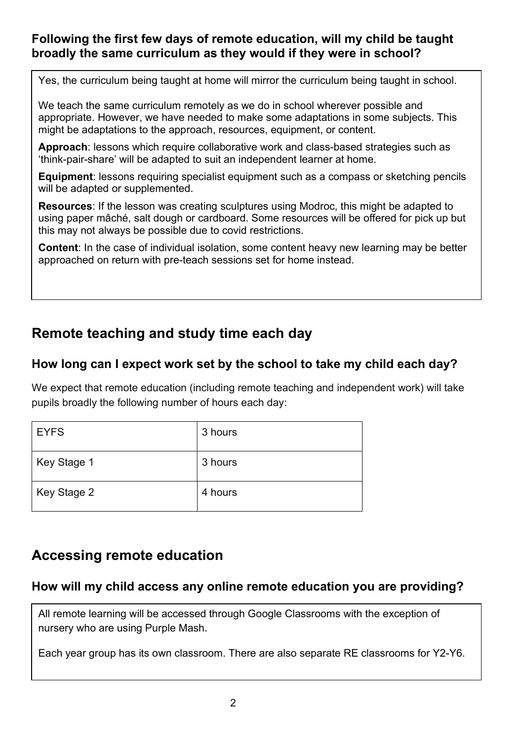## Following the first few days of remote education, will my child be taught broadly the same curriculum as they would if they were in school?

Yes, the curriculum being taught at home will mirror the curriculum being taught in school.

We teach the same curriculum remotely as we do in school wherever possible and appropriate. However, we have needed to make some adaptations in some subjects. This might be adaptations to the approach, resources, equipment, or content.

Approach: lessons which require collaborative work and class-based strategies such as 'think-pair-share' will be adapted to suit an independent learner at home.

Equipment: lessons requiring specialist equipment such as a compass or sketching pencils will be adapted or supplemented.

Resources: If the lesson was creating sculptures using Modroc, this might be adapted to using paper mâché, salt dough or cardboard. Some resources will be offered for pick up but this may not always be possible due to covid restrictions.

Content: In the case of individual isolation, some content heavy new learning may be better approached on return with pre-teach sessions set for home instead.

# Remote teaching and study time each day

### How long can I expect work set by the school to take my child each day?

We expect that remote education (including remote teaching and independent work) will take pupils broadly the following number of hours each day:

| <b>EYFS</b> | 3 hours |
|-------------|---------|
| Key Stage 1 | 3 hours |
| Key Stage 2 | 4 hours |

# Accessing remote education

### How will my child access any online remote education you are providing?

All remote learning will be accessed through Google Classrooms with the exception of nursery who are using Purple Mash.

Each year group has its own classroom. There are also separate RE classrooms for Y2-Y6.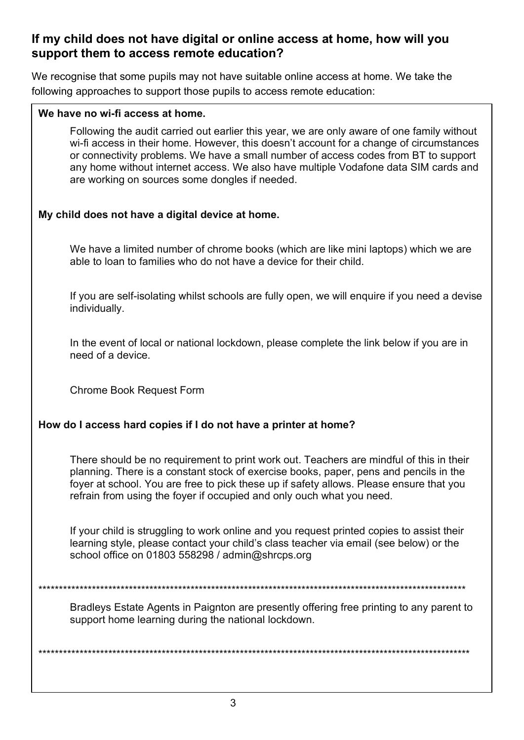## If my child does not have digital or online access at home, how will you support them to access remote education?

We recognise that some pupils may not have suitable online access at home. We take the following approaches to support those pupils to access remote education:

#### We have no wi-fi access at home.

Following the audit carried out earlier this year, we are only aware of one family without wi-fi access in their home. However, this doesn't account for a change of circumstances or connectivity problems. We have a small number of access codes from BT to support any home without internet access. We also have multiple Vodafone data SIM cards and are working on sources some dongles if needed.

### My child does not have a digital device at home.

We have a limited number of chrome books (which are like mini laptops) which we are able to loan to families who do not have a device for their child.

If you are self-isolating whilst schools are fully open, we will enquire if you need a devise individually.

In the event of local or national lockdown, please complete the link below if you are in need of a device.

Chrome Book Request Form

#### How do I access hard copies if I do not have a printer at home?

There should be no requirement to print work out. Teachers are mindful of this in their planning. There is a constant stock of exercise books, paper, pens and pencils in the foyer at school. You are free to pick these up if safety allows. Please ensure that you refrain from using the foyer if occupied and only ouch what you need.

If your child is struggling to work online and you request printed copies to assist their learning style, please contact your child's class teacher via email (see below) or the school office on 01803 558298 / admin@shrcps.org

\*\*\*\*\*\*\*\*\*\*\*\*\*\*\*\*\*\*\*\*\*\*\*\*\*\*\*\*\*\*\*\*\*\*\*\*\*\*\*\*\*\*\*\*\*\*\*\*\*\*\*\*\*\*\*\*\*\*\*\*\*\*\*\*\*\*\*\*\*\*\*\*\*\*\*\*\*\*\*\*\*\*\*\*\*\*\*\*\*\*\*\*\*\*\*\*\*\*\*\*\*\*\*\*

Bradleys Estate Agents in Paignton are presently offering free printing to any parent to support home learning during the national lockdown.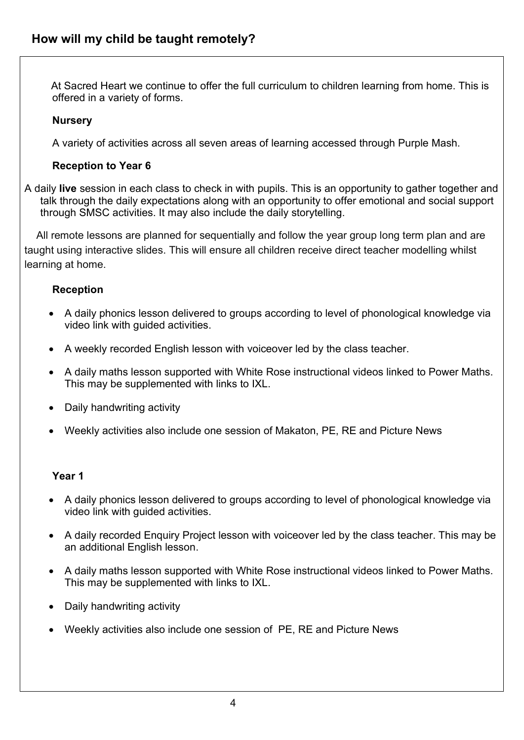At Sacred Heart we continue to offer the full curriculum to children learning from home. This is offered in a variety of forms.

#### **Nurserv**

A variety of activities across all seven areas of learning accessed through Purple Mash.

#### Reception to Year 6

A daily live session in each class to check in with pupils. This is an opportunity to gather together and talk through the daily expectations along with an opportunity to offer emotional and social support through SMSC activities. It may also include the daily storytelling.

 All remote lessons are planned for sequentially and follow the year group long term plan and are taught using interactive slides. This will ensure all children receive direct teacher modelling whilst learning at home.

#### **Reception**

- A daily phonics lesson delivered to groups according to level of phonological knowledge via video link with guided activities.
- A weekly recorded English lesson with voiceover led by the class teacher.
- A daily maths lesson supported with White Rose instructional videos linked to Power Maths. This may be supplemented with links to IXL.
- Daily handwriting activity
- Weekly activities also include one session of Makaton, PE, RE and Picture News

#### Year 1

- A daily phonics lesson delivered to groups according to level of phonological knowledge via video link with guided activities.
- A daily recorded Enquiry Project lesson with voiceover led by the class teacher. This may be an additional English lesson.
- A daily maths lesson supported with White Rose instructional videos linked to Power Maths. This may be supplemented with links to IXL.
- Daily handwriting activity
- Weekly activities also include one session of PE, RE and Picture News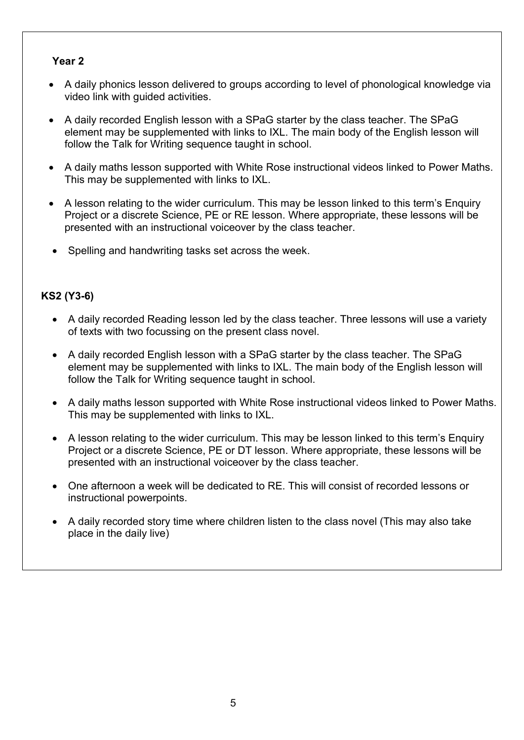#### Year 2

- A daily phonics lesson delivered to groups according to level of phonological knowledge via video link with guided activities.
- A daily recorded English lesson with a SPaG starter by the class teacher. The SPaG element may be supplemented with links to IXL. The main body of the English lesson will follow the Talk for Writing sequence taught in school.
- A daily maths lesson supported with White Rose instructional videos linked to Power Maths. This may be supplemented with links to IXL.
- A lesson relating to the wider curriculum. This may be lesson linked to this term's Enquiry Project or a discrete Science, PE or RE lesson. Where appropriate, these lessons will be presented with an instructional voiceover by the class teacher.
- Spelling and handwriting tasks set across the week.

### KS2 (Y3-6)

- A daily recorded Reading lesson led by the class teacher. Three lessons will use a variety of texts with two focussing on the present class novel.
- A daily recorded English lesson with a SPaG starter by the class teacher. The SPaG element may be supplemented with links to IXL. The main body of the English lesson will follow the Talk for Writing sequence taught in school.
- A daily maths lesson supported with White Rose instructional videos linked to Power Maths. This may be supplemented with links to IXL.
- A lesson relating to the wider curriculum. This may be lesson linked to this term's Enquiry Project or a discrete Science, PE or DT lesson. Where appropriate, these lessons will be presented with an instructional voiceover by the class teacher.
- One afternoon a week will be dedicated to RE. This will consist of recorded lessons or instructional powerpoints.
- A daily recorded story time where children listen to the class novel (This may also take place in the daily live)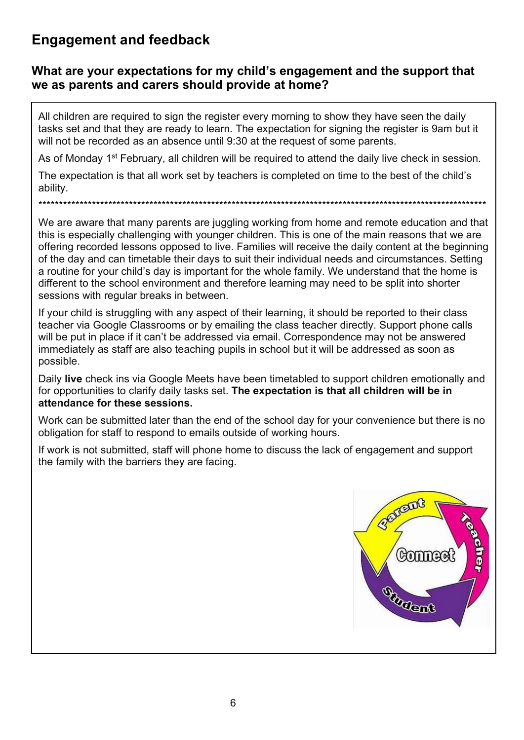# Engagement and feedback

### What are your expectations for my child's engagement and the support that we as parents and carers should provide at home?

All children are required to sign the register every morning to show they have seen the daily tasks set and that they are ready to learn. The expectation for signing the register is 9am but it will not be recorded as an absence until 9:30 at the request of some parents.

As of Monday 1<sup>st</sup> February, all children will be required to attend the daily live check in session.

The expectation is that all work set by teachers is completed on time to the best of the child's ability.

We are aware that many parents are juggling working from home and remote education and that this is especially challenging with younger children. This is one of the main reasons that we are offering recorded lessons opposed to live. Families will receive the daily content at the beginning of the day and can timetable their days to suit their individual needs and circumstances. Setting a routine for your child's day is important for the whole family. We understand that the home is different to the school environment and therefore learning may need to be split into shorter sessions with regular breaks in between.

\*\*\*\*\*\*\*\*\*\*\*\*\*\*\*\*\*\*\*\*\*\*\*\*\*\*\*\*\*\*\*\*\*\*\*\*\*\*\*\*\*\*\*\*\*\*\*\*\*\*\*\*\*\*\*\*\*\*\*\*\*\*\*\*\*\*\*\*\*\*\*\*\*\*\*\*\*\*\*\*\*\*\*\*\*\*\*\*\*\*\*\*\*\*\*\*\*\*\*\*\*\*\*\*\*\*\*\*\*

If your child is struggling with any aspect of their learning, it should be reported to their class teacher via Google Classrooms or by emailing the class teacher directly. Support phone calls will be put in place if it can't be addressed via email. Correspondence may not be answered immediately as staff are also teaching pupils in school but it will be addressed as soon as possible.

Daily live check ins via Google Meets have been timetabled to support children emotionally and for opportunities to clarify daily tasks set. The expectation is that all children will be in attendance for these sessions.

Work can be submitted later than the end of the school day for your convenience but there is no obligation for staff to respond to emails outside of working hours.

If work is not submitted, staff will phone home to discuss the lack of engagement and support the family with the barriers they are facing.

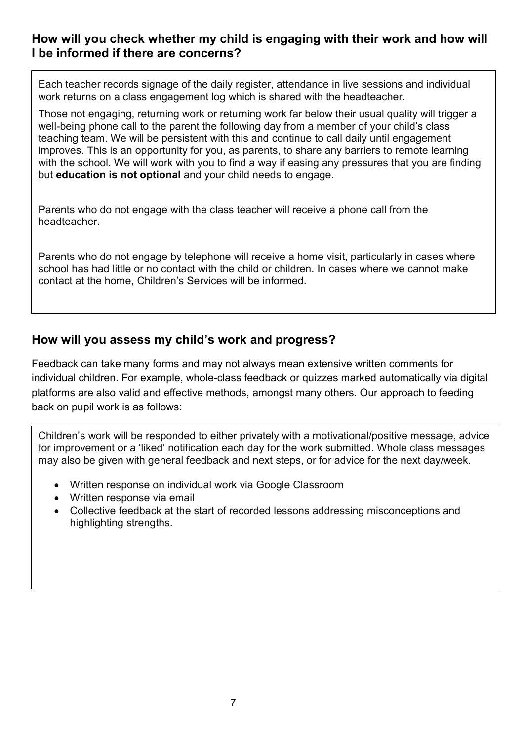## How will you check whether my child is engaging with their work and how will I be informed if there are concerns?

Each teacher records signage of the daily register, attendance in live sessions and individual work returns on a class engagement log which is shared with the headteacher.

Those not engaging, returning work or returning work far below their usual quality will trigger a well-being phone call to the parent the following day from a member of your child's class teaching team. We will be persistent with this and continue to call daily until engagement improves. This is an opportunity for you, as parents, to share any barriers to remote learning with the school. We will work with you to find a way if easing any pressures that you are finding but education is not optional and your child needs to engage.

Parents who do not engage with the class teacher will receive a phone call from the headteacher.

Parents who do not engage by telephone will receive a home visit, particularly in cases where school has had little or no contact with the child or children. In cases where we cannot make contact at the home, Children's Services will be informed.

### How will you assess my child's work and progress?

Feedback can take many forms and may not always mean extensive written comments for individual children. For example, whole-class feedback or quizzes marked automatically via digital platforms are also valid and effective methods, amongst many others. Our approach to feeding back on pupil work is as follows:

Children's work will be responded to either privately with a motivational/positive message, advice for improvement or a 'liked' notification each day for the work submitted. Whole class messages may also be given with general feedback and next steps, or for advice for the next day/week.

- Written response on individual work via Google Classroom
- Written response via email
- Collective feedback at the start of recorded lessons addressing misconceptions and highlighting strengths.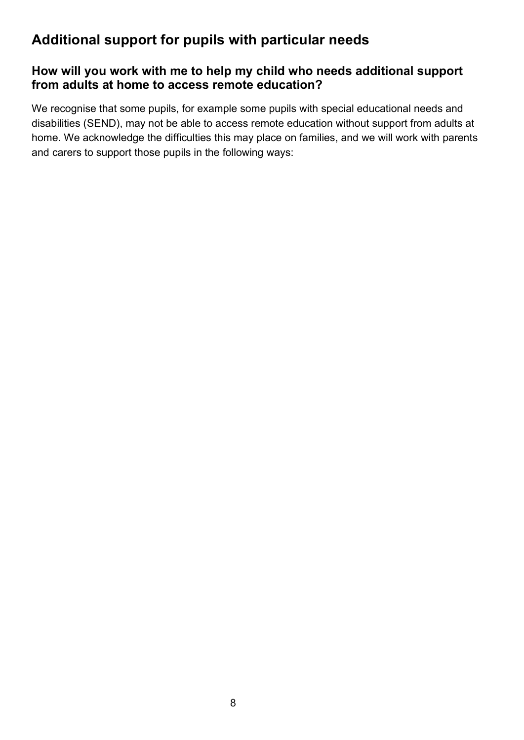# Additional support for pupils with particular needs

## How will you work with me to help my child who needs additional support from adults at home to access remote education?

We recognise that some pupils, for example some pupils with special educational needs and disabilities (SEND), may not be able to access remote education without support from adults at home. We acknowledge the difficulties this may place on families, and we will work with parents and carers to support those pupils in the following ways: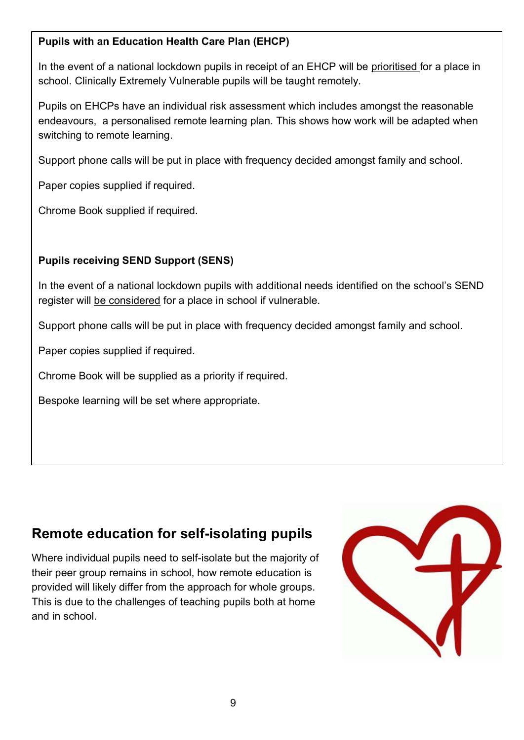### Pupils with an Education Health Care Plan (EHCP)

In the event of a national lockdown pupils in receipt of an EHCP will be prioritised for a place in school. Clinically Extremely Vulnerable pupils will be taught remotely.

Pupils on EHCPs have an individual risk assessment which includes amongst the reasonable endeavours, a personalised remote learning plan. This shows how work will be adapted when switching to remote learning.

Support phone calls will be put in place with frequency decided amongst family and school.

Paper copies supplied if required.

Chrome Book supplied if required.

### Pupils receiving SEND Support (SENS)

In the event of a national lockdown pupils with additional needs identified on the school's SEND register will be considered for a place in school if vulnerable.

Support phone calls will be put in place with frequency decided amongst family and school.

Paper copies supplied if required.

Chrome Book will be supplied as a priority if required.

Bespoke learning will be set where appropriate.

# Remote education for self-isolating pupils

Where individual pupils need to self-isolate but the majority of their peer group remains in school, how remote education is provided will likely differ from the approach for whole groups. This is due to the challenges of teaching pupils both at home and in school.